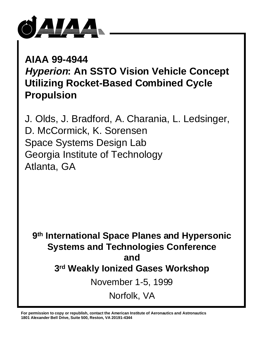

**AIAA 99-4944 Hyperion: An SSTO Vision Vehicle Concept Utilizing Rocket-Based Combined Cycle Propulsion**

J. Olds, J. Bradford, A. Charania, L. Ledsinger, D. McCormick, K. Sorensen Space Systems Design Lab Georgia Institute of Technology Atlanta, GA

**9th International Space Planes and Hypersonic Systems and Technologies Conference and 3rd Weakly Ionized Gases Workshop** November 1-5, 1999 Norfolk, VA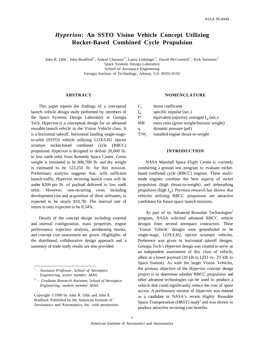# *Hyperion***: An SSTO Vision Vehicle Concept Utilizing Rocket-Based Combined Cycle Propulsion**

John R. Olds† , John Bradford††, Ashraf Charania††, Laura Ledsinger††, David McCormick††, Kirk Sorensen†† Space Systems Design Laboratory School of Aerospace Engineering Georgia Institute of Technology, Atlanta, GA 30332-0150

### **ABSTRACT**

This paper reports the findings of a conceptual launch vehicle design study performed by members of the Space Systems Design Laboratory at Georgia Tech. *Hyperion* is a conceptual design for an advanced reusable launch vehicle in the Vision Vehicle class. It is a horizontal takeoff, horizontal landing single-stageto-orbit (SSTO) vehicle utilizing LOX/LH2 ejector scramjet rocket-based combined cycle (RBCC) propulsion. *Hyperion* is designed to deliver 20,000 lb. to low earth orbit from Kennedy Space Center. Gross weight is estimated to be 800,700 lb. and dry weight is estimated to be 123,250 lb. for this mission. Preliminary analysis suggests that, with sufficient launch traffic, *Hyperion* recurring launch costs will be under \$200 per lb. of payload delivered to low earth orbit. However, non-recurring costs including development cost and acquisition of three airframes, is expected to be nearly \$10.7B. The internal rate of return is only expected to be 8.24%.

Details of the concept design including external and internal configuration, mass properties, engine performance, trajectory analysis, aeroheating results, and concept cost assessment are given. Highlights of the distributed, collaborative design approach and a summary of trade study results are also provided.

Copyright ©1999 by John R. Olds and John E. Bradford. Published by the American Institute of Aeronautics and Astronautics, Inc. with permission.

#### **NOMENCLATURE**

 $C_t$  thrust coefficient  $I_{\rm sn}$  specific impulse (sec.)  $I^*$  equivalent trajectory averaged  $I_{\rm sn}$  (sec.) MR mass ratio (gross weight/burnout weight) q dynamic pressure (psf) T/We installed engine thrust-to-weight

### **INTRODUCTION**

NASA Marshall Space Flight Center is currently conducting a ground test program to evaluate rocketbased combined cycle (RBCC) engines. These multimode engines combine the best aspects of rocket propulsion (high thrust-to-weight) and airbreathing propulsion (high  $I_{\text{sn}}$ ). Previous research has shown that vehicles utilizing RBCC propulsion are attractive candidates for future space launch missions.

As part of its Advanced Reusable Technologies<sup>1</sup> program, NASA solicited advanced RBCC vehicle designs from several aerospace contractors. These 'Vision Vehicle' designs were groundruled to be single-stage, LOX/LH2, ejector scramjet vehicles. Preference was given to horizontal takeoff designs. Georgia Tech's *Hyperion* design was created to serve as an independent assessment of this class of vehicle, albeit at a lower payload (20 klb to LEO vs. 25 klb to Space Station). As with the larger Vision Vehicles, the primary objective of the *Hyperion* concept design project is to determine whether RBCC propulsion and other advanced technologies can be used to produce a vehicle that could significantly reduce the cost of space access. A preliminary version of *Hyperion* was entered as a candidate in NASA's recent Highly Reusable Space Transportation (HRST) study<sup>2</sup> and was shown to produce attractive recurring cost benefits.

<sup>†</sup>  *- Assistant Professor, School of Aerospace Engineering, senior member AIAA.*

<sup>††</sup> *- Graduate Research Assistant, School of Aerospace Engineering, student member AIAA.*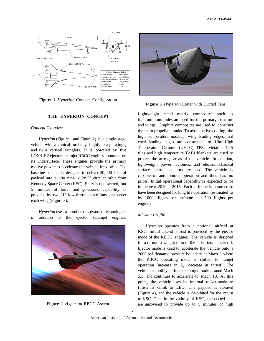

**Figure 1**. *Hyperion* Concept Configuration.

## **THE HYPERION CONCEPT**

## *Concept Overview*

*Hyperion* (Figure 1 and Figure 2) is a single-stage vehicle with a conical forebody, highly swept wings, and twin vertical winglets. It is powered by five LOX/LH2 ejector scramjet RBCC engines mounted on its undersurface. These engines provide the primary motive power to accelerate the vehicle into orbit. The baseline concept is designed to deliver 20,000 lbs. of payload into a 100 nmi. x 28.5° circular orbit from Kennedy Space Center (KSC). Entry is unpowered, but 5 minutes of loiter and go-around capability is provided by two H2 low-thrust ducted fans, one under each wing (Figure 3).

*Hyperion* uses a number of advanced technologies in addition to the ejector scramjet engines.







**Figure 3**. *Hyperion* Loiter with Ducted Fans.

Lightweight metal matrix composites such as titanium-aluminides are used for the primary structure and wings. Graphite composites are used to construct the main propellant tanks. To avoid active cooling, the high temperature nosecap, wing leading edges, and cowl leading edges are constructed of Ultra-High Temperature Ceramic (UHTC) TPS. Metallic TPS tiles and high temperature TABI blankets are used to protect the acreage areas of the vehicle. In addition, lightweight power, avionics, and electromechanical surface control actuators are used. The vehicle is capable of autonomous operation and thus has no pilots. Initial operational capability is expected to be in the year 2010 – 2015. Each airframe is assumed to have been designed for long life operation (estimated to by 1000 flights per airframe and 500 flights per engine).

## *Mission Profile*

*Hyperion* operates from a notional airfield at KSC. Initial take-off thrust is provided by the ejector mode of the RBCC engines. The vehicle is designed for a thrust-to-weight ratio of 0.6 at horizontal takeoff. Ejector mode is used to accelerate the vehicle onto a 2000 psf dynamic pressure boundary at Mach 3 where the RBCC operating mode is shifted to ramjet operation (increase in  $I_{\text{sp}}$ , decrease in thrust). The vehicle smoothly shifts to scramjet mode around Mach 5.5, and continues to accelerate to Mach 10. At this point, the vehicle uses its internal rocket-mode to finish its climb to LEO. The payload is released (Figure 4), and the vehicle is de-orbited for the return to KSC. Once in the vicinity of KSC, the ducted fans **Figure 2.** *Hyperion* RBCC Ascent. are uncovered to provide up to 5 minutes of high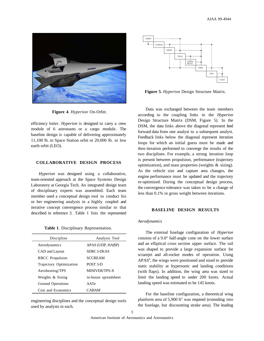

**Figure 4**. *Hyperion* On-Orbit.

efficiency loiter. *Hyperion* is designed to carry a crew module of 6 astronauts or a cargo module. The baseline design is capable of delivering approximately 11,100 lb. to Space Station orbit or 20,000 lb. to low earth orbit (LEO).

## **COLLABORATIVE DESIGN PROCESS**

*Hyperion* was designed using a collaborative, team-oriented approach at the Space Systems Design Laboratory at Georgia Tech. An integrated design team of disciplinary experts was assembled. Each team member used a conceptual design tool to conduct his or her engineering analysis in a highly coupled and iterative concept convergence process similar to that described in reference 3. Table 1 lists the represented

|  |  |  |  |  |  | Table 1. Disciplinary Representation. |  |
|--|--|--|--|--|--|---------------------------------------|--|
|--|--|--|--|--|--|---------------------------------------|--|

| Discipline              | Analysis Tool        |
|-------------------------|----------------------|
| Aerodynamics            | APAS (UDP, HABP)     |
| CAD and Layout          | <b>SDRC I-DEAS</b>   |
| <b>RBCC</b> Propulsion  | <b>SCCREAM</b>       |
| Trajectory Optimization | POST 3-D             |
| Aeroheating/TPS         | <b>MINIVER/TPS-X</b> |
| Weights & Sizing        | in-house spreadsheet |
| Ground Operations       | AATe                 |
| Cost and Economics      | CABAM                |

engineering disciplines and the conceptual design tools used by analysts in each.



**Figure 5**. *Hyperion* Design Structure Matrix.

Data was exchanged between the team members according to the coupling links in the *Hyperion* Design Structure Matrix (DSM, Figure 5). In the DSM, the data links above the diagonal represent feed forward data from one analyst to a subsequent analyst. Feedback links below the diagonal represent iteration loops for which an initial guess must be made and then iteration performed to converge the results of the two disciplines. For example, a strong iteration loop is present between propulsion, performance (trajectory optimization), and mass properties (weights & sizing). As the vehicle size and capture area changes, the engine performance must be updated and the trajectory re-optimized. During the conceptual design process, the convergence tolerance was taken to be a change of less than 0.1% in gross weight between iterations.

## **BASELINE DESIGN RESULTS**

#### *Aerodynamics*

The external fuselage configuration of *Hyperion* consists of a 9.0° half-angle cone on the lower surface and an elliptical cross section upper surface. The tail was shaped to provide a large expansion surface for scramjet and all-rocket modes of operation. Using APAS<sup>4</sup>, the wings were positioned and sized to provide static stability at hypersonic and landing conditions (with flaps). In addition, the wing area was sized to limit the landing speed to under 200 knots. Actual landing speed was estimated to be 145 knots.

For the baseline configuration, a theoretical wing planform area of  $5,900$  ft<sup>2</sup> was required (extending into the fuselage, but discounting strake area). The leading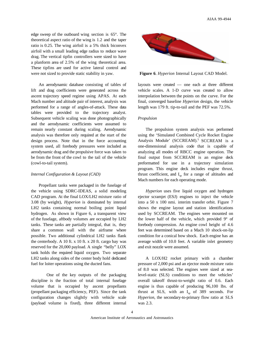edge sweep of the outboard wing section is 65°. The theoretical aspect ratio of the wing is 1.2 and the taper ratio is 0.25. The wing airfoil is a 5% thick biconvex airfoil with a small leading edge radius to reduce wave drag. The vertical tipfin controllers were sized to have a planform area of 2.5% of the wing theoretical area. These tipfins are used for active lateral control and were not sized to provide static stability in yaw.

An aerodynamic database consisting of tables of lift and drag coefficients were generated across the ascent trajectory speed regime using APAS. At each Mach number and altitude pair of interest, analysis was performed for a range of angles-of-attack. These data tables were provided to the trajectory analyst. Subsequent vehicle scaling was done photographically and the aerodynamic coefficients were assumed to remain nearly constant during scaling. Aerodynamic analysis was therefore only required at the start of the design process. Note that in the force accounting system used, all forebody pressures were included as aerodynamic drag and the propulsive force was taken to be from the front of the cowl to the tail of the vehicle (cowl-to-tail system).

#### *Internal Configuration & Layout (CAD)*

Propellant tanks were packaged in the fuselage of the vehicle using SDRC-IDEAS, a solid modeling CAD program. At the final LOX/LH2 mixture ratio of 3.08 (by weight), *Hyperion* is dominated by internal LH2 tanks containing normal boiling point liquid hydrogen. As shown in Figure 6, a transparent view of the fuselage, aftbody volumes are occupied by LH2 tanks. These tanks are partially integral, that is, they share a common wall with the airframe where possible. Two additional cylindrical LH2 tanks flank the centerbody. A 10 ft. x 10 ft. x 20 ft. cargo bay was reserved for the 20,000 payload. A single "belly" LOX tank holds the required liquid oxygen. Two separate LH2 tanks along sides of the center body hold dedicated fuel for loiter operations using the ducted fans.

One of the key outputs of the packaging discipline is the fraction of total internal fuselage volume that is occupied by ascent propellants (propellant packaging efficiency, PEF). Since the tank configuration changes slightly with vehicle scale (payload volume is fixed), three different internal



**Figure 6**. *Hyperion* Internal Layout CAD Model.

layouts were created — one each at three different vehicle scales. A 1-D curve was created to allow interpolation between the points on the curve. For the final, converged baseline *Hyperion* design, the vehicle length was 179 ft. tip-to-tail and the PEF was 72.5%.

## *Propulsion*

The propulsion system analysis was performed using the 'Simulated Combined Cycle Rocket Engine Analysis Module' (SCCREAM).<sup>5</sup> SCCREAM is a one-dimensional analysis code that is capable of analyzing all modes of RBCC engine operation. The final output from SCCREAM is an engine deck preformatted for use in a trajectory simulation program. This engine deck includes engine thrust, thrust coefficient, and  $I_{sp}$  for a range of altitudes and Mach numbers for each operating mode.

*Hyperion* uses five liquid oxygen and hydrogen ejector scramjet (ESJ) engines to inject the vehicle into a 50 x 100 nmi. interim transfer orbit. Figure 7 shows the engine layout and station identifications used by SCCREAM. The engines were mounted on the lower half of the vehicle, which provided 9° of forebody compression. An engine cowl height of 4.6 feet was determined based on a Mach 10 shock-on-lip condition for a conical bow shock. Each engine has an average width of 10.0 feet. A variable inlet geometry and exit nozzle were assumed.

A LOX/H2 rocket primary with a chamber pressure of 2,000 psi and an ejector mode mixture ratio of 8.0 was selected. The engines were sized at sealevel-static (SLS) conditions to meet the vehicles' overall takeoff thrust-to-weight ratio of 0.6. Each engine is thus capable of producing 96,100 lbs. of thrust at SLS, with an  $I_{\rm sn}$  of 389 seconds. For *Hyperion*, the secondary-to-primary flow ratio at SLS was 2.3.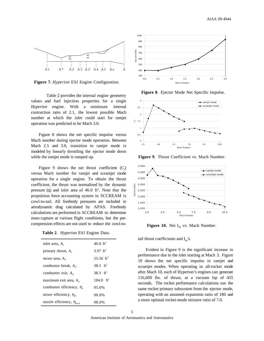

**Figure 7.** *Hyperion* ESJ Engine Configuration.

Table 2 provides the internal engine geometry values and fuel injection properties for a single *Hyperion* engine. With a minimum internal contraction ratio of 2.1, the lowest possible Mach number at which the inlet could start for ramjet operation was predicted to be Mach 3.0.

Figure 8 shows the net specific impulse versus Mach number during ejector mode operation. Between Mach 2.5 and 3.0, transition to ramjet mode is modeled by linearly throttling the ejector mode down while the ramjet mode is ramped up.

Figure 9 shows the net thrust coefficient  $(C_t)$ versus Mach number for ramjet and scramjet mode operation for a single engine. To obtain the thrust coefficient, the thrust was normalized by the dynamic pressure (q) and inlet area of  $46.0 \text{ ft}^2$ . Note that the propulsion force accounting system in SCCREAM is cowl-to-tail. All forebody pressures are included in aerodynamic drag calculated by APAS. Forebody calculations are performed in SCCREAM to determine mass capture at various flight conditions, but the precompression effects are not used to reduce the cowl-to-

**Table 2**. *Hyperion* ESJ Engine Data.

| inlet area, $A_1$                       | $46.0 \text{ ft}^2$     |
|-----------------------------------------|-------------------------|
| primary throat, A,                      | 3.97 $ft^2$             |
| mixer area, $A_3$                       | $25.56 \text{ ft}^2$    |
| combustor break, $A_{\alpha}$           | 38.3 $ft^2$             |
| combustor exit, $A_4$                   | 38.3 $\text{ft}^2$      |
| maximum exit area, A.                   | $184.0$ ft <sup>2</sup> |
| combustor efficiency, $\eta_c$          | 95.0%                   |
| mixer efficiency, $\eta_m$              | 90.0%                   |
| nozzle efficiency, $\eta_{\text{nozz}}$ | 98.0%                   |



**Figure 8**. Ejector Mode Net Specific Impulse.



**Figure 9**. Thrust Coefficient vs. Mach Number.



**Figure 10.** Net I<sub>sp</sub> vs. Mach Number.

tail thrust coefficients and  $I_{sp}$ 's.

Evident in Figure 9 is the significant increase in performance due to the inlet starting at Mach 3. Figure 10 shows the net specific impulse in ramjet and scramjet modes. When operating in all-rocket mode after Mach 10, each of Hyperion's engines can generate 116,600 lbs. of thrust, at a vacuum Isp of 455 seconds. The rocket performance calculations use the same rocket primary subsystem from the ejector mode, operating with an assumed expansion ratio of 180 and a more optimal rocket-mode mixture ratio of 7.0.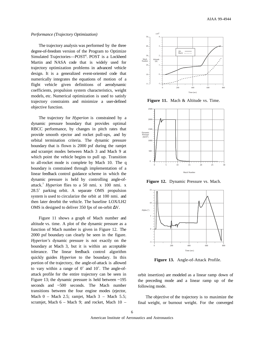## *Performance (Trajectory Optimization)*

The trajectory analysis was performed by the three degree-of-freedom version of the Program to Optimize Simulated Trajectories-POST<sup>6</sup>. POST is a Lockheed Martin and NASA code that is widely used for trajectory optimization problems in advanced vehicle design. It is a generalized event-oriented code that numerically integrates the equations of motion of a flight vehicle given definitions of aerodynamic coefficients, propulsion system characteristics, weight models, etc. Numerical optimization is used to satisfy trajectory constraints and minimize a user-defined objective function.

The trajectory for *Hyperion* is constrained by a dynamic pressure boundary that provides optimal RBCC performance, by changes in pitch rates that provide smooth ejector and rocket pull-ups, and by orbital termination criteria. The dynamic pressure boundary that is flown is 2000 psf during the ramjet and scramjet modes between Mach 3 and Mach 9 at which point the vehicle begins to pull up. Transition to all-rocket mode is complete by Mach 10. The q boundary is constrained through implementation of a linear feedback control guidance scheme in which the dynamic pressure is held by controlling angle-ofattack.7 *Hyperion* flies to a 50 nmi. x 100 nmi. x 28.5˚ parking orbit. A separate OMS propulsion system is used to circularize the orbit at 100 nmi. and then later deorbit the vehicle. The baseline LOX/LH2 OMS is designed to deliver 350 fps of on-orbit ∆V.

Figure 11 shows a graph of Mach number and altitude vs. time. A plot of the dynamic pressure as a function of Mach number is given in Figure 12. The 2000 psf boundary can clearly be seen in the figure. *Hyperion's* dynamic pressure is not exactly on the boundary at Mach 3, but it is within an acceptable tolerance. The linear feedback control algorithm quickly guides *Hyperion* to the boundary. In this portion of the trajectory, the angle-of-attack is allowed to vary within a range of 0˚ and 10˚. The angle-ofattack profile for the entire trajectory can be seen in Figure 13; the dynamic pressure is held between ~195 seconds and ~500 seconds. The Mach number transitions between the four engine modes (ejector, Mach  $0$  – Mach 2.5; ramjet, Mach  $3$  – Mach 5.5; scramjet, Mach 6 – Mach 9; and rocket, Mach 10 –



Figure 11. Mach & Altitude vs. Time.



**Figure 12.** Dynamic Pressure vs. Mach.



**Figure 13.** Angle-of-Attack Profile.

orbit insertion) are modeled as a linear ramp down of the preceding mode and a linear ramp up of the following mode.

The objective of the trajectory is to maximize the final weight, or burnout weight. For the converged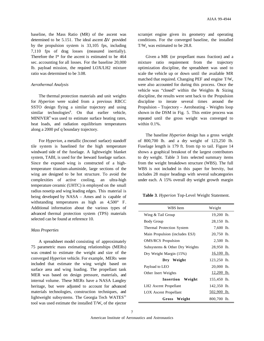baseline, the Mass Ratio (MR) of the ascent was determined to be 5.151. The ideal ascent ∆V provided by the propulsion system is 33,105 fps, including 7,110 fps of drag losses (measured inertially). Therefore the I\* for the ascent is estimated to be 464 sec. accounting for all losses. For the baseline 20,000 lb. payload mission, the required LOX/LH2 mixture ratio was determined to be 3.08.

## *Aerothermal Analysis*

The thermal protection materials and unit weights for *Hyperion* were scaled from a previous RBCC SSTO design flying a similar trajectory and using similar technologies<sup>8</sup>. On that earlier vehicle, MINIVER<sup>9</sup> was used to estimate surface heating rates, heat loads, and radiation equilibrium temperatures along a 2000 psf q boundary trajectory.

For *Hyperion*, a metallic (Inconel surface) standoff tile system is baselined for the high temperature windward side of the fuselage. A lightweight blanket system, TABI, is used for the leeward fuselage surface. Since the exposed wing is constructed of a hightemperature titanium-aluminide, large sections of the wing are designed to be hot structure. To avoid the complexities of active cooling, an ultra-high temperature ceramic (UHTC) is employed on the small radius nosetip and wing leading edges. This material is being developed by NASA – Ames and is capable of withstanding temperatures as high as 4,500° F. Additional information about the various types of advanced thermal protection system (TPS) materials selected can be found at reference 10.

## *Mass Properties*

A spreadsheet model consisting of approximately 75 parametric mass estimating relationships (MERs) was created to estimate the weight and size of the converged *Hyperion* vehicle. For example, MERs were included that estimate the wing weight based on surface area and wing loading. The propellant tank MER was based on design pressure, materials, and internal volume. These MERs have a NASA Langley heritage, but were adjusted to account for advanced materials technologies, construction techniques, and lightweight subsystems. The Georgia Tech  $WATES<sup>11</sup>$ tool was used estimate the installed  $T/W_e$  of the ejector scramjet engine given its geometry and operating conditions. For the converged baseline, the installed  $T/W<sub>e</sub>$  was estimated to be 28.8.

Given a MR (or propellant mass fraction) and a mixture ratio requirement from the trajectory optimization discipline, the spreadsheet was used to scale the vehicle up or down until the available MR matched that required. Changing PEF and engine  $T/W<sub>a</sub>$ were also accounted for during this process. Once the vehicle was "closed" within the Weights & Sizing discipline, the results were sent back to the Propulsion discipline to iterate several times around the Propulsion – Trajectory – Aeroheating - Weights loop shown in the DSM in Fig. 5. This entire process was repeated until the gross weight was converged to within 0.1%.

The baseline *Hyperion* design has a gross weight of 800,700 lb. and a dry weight of 123,250 lb. Fuselage length is 179 ft. from tip to tail. Figure 14 shows a graphical breakout of the largest contributors to dry weight. Table 3 lists selected summary items from the weight breakdown structure (WBS). The full WBS is not included in this paper for brevity, but includes 28 major headings with several subcategories under each. A 15% overall dry weight growth margin

**Table 3**. *Hyperion* Top-Level Weight Statement.

| WBS Item                          | Weight       |
|-----------------------------------|--------------|
| Wing & Tail Group                 | 19,200 lb.   |
| <b>Body Group</b>                 | 28,150 lb.   |
| Thermal Protection System         | 7,600 lb.    |
| Main Propulsion (includes ESJ)    | 20,750 lb.   |
| <b>OMS/RCS</b> Propulsion         | $2,500$ lb.  |
| Subsystems & Other Dry Weights    | 28,950 lb.   |
| Dry Weight Margin (15%)           | $16,100$ lb. |
| Dry Weight                        | 123,250 lb.  |
| Payload to LEO                    | $20,000$ lb. |
| Other Inert Weights               | $12,200$ lb. |
| <b>Insertion</b> Weight           | 155,450 lb.  |
| LH <sub>2</sub> Ascent Propellant | 142,350 lb.  |
| <b>LOX</b> Ascent Propellant      | 502,900 lb.  |
| Gross Weight                      | 800,700 lb.  |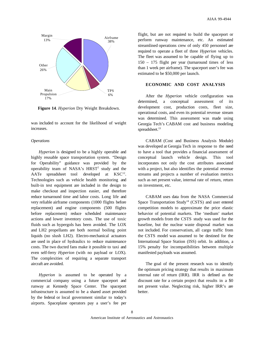

**Figure 14**. *Hyperion* Dry Weight Breakdown.

was included to account for the likelihood of weight increases.

#### *Operations*

*Hyperion* is designed to be a highly operable and highly reusable space transportation system. "Design for Operability" guidance was provided by the operability team of NASA's HRST<sup>2</sup> study and the AATe spreadsheet tool developed at  $KSC^{12}$ . Technologies such as vehicle health monitoring and built-in test equipment are included in the design to make checkout and inspection easier, and therefore reduce turnaround time and labor costs. Long life and very reliable airframe components (1000 flights before replacement) and engine components (500 flights before replacement) reduce scheduled maintenance actions and lower inventory costs. The use of toxic fluids such as hypergols has been avoided. The LOX and LH2 propellants are both normal boiling point liquids (no slush LH2). Electro-mechanical actuators are used in place of hydraulics to reduce maintenance costs. The two ducted fans make it possible to taxi and even self-ferry *Hyperion* (with no payload or LOX). The complexities of requiring a separate transport aircraft are avoided.

*Hyperion* is assumed to be operated by a commercial company using a future spaceport and runway at Kennedy Space Center. The spaceport infrastructure is assumed to be a shared asset provided by the federal or local government similar to today's airports. Spaceplane operators pay a user's fee per flight, but are not required to build the spaceport or perform runway maintenance, etc. An estimated streamlined operations crew of only 450 personnel are required to operate a fleet of three *Hyperion* vehicles. The fleet was assumed to be capable of flying up to 150 – 175 flight per year (turnaround times of less than 1 week per airframe). The spaceport user's fee was estimated to be \$50,000 per launch.

# **ECONOMIC AND COST ANALYSIS**

After the *Hyperion* vehicle configuration was determined, a conceptual assessment of its development cost, production costs, fleet size, operational costs, and even its potential revenue stream was determined. This assessment was made using Georgia Tech's CABAM cost and business modeling spreadsheet. $13$ 

CABAM (Cost and Business Analysis Module) was developed at Georgia Tech in response to the need to have a tool that provides a financial assessment of conceptual launch vehicle design. This tool incorporates not only the cost attributes associated with a project, but also identifies the potential revenue streams and projects a number of evaluation metrics such as net present value, internal rate of return, return on investment, etc.

CABAM uses data from the NASA Commercial Space Transportation Study<sup>14</sup> (CSTS) and user entered competition models to approximate the price elastic behavior of potential markets. The 'medium' market growth models from the CSTS study was used for the baseline, but the nuclear waste disposal market was not included. For conservatism, all cargo traffic from the CSTS model was assumed to be destined for the International Space Station (ISS) orbit. In addition, a 15% penalty for incompatibilities between multiple manifested payloads was assumed.

The goal of the present research was to identify the optimum pricing strategy that results in maximum internal rate of return (IRR). IRR is defined as the discount rate for a certain project that results in a \$0 net present value. Neglecting risk, higher IRR's are better.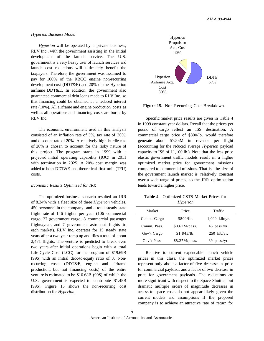#### *Hyperion Business Model*

*Hyperion* will be operated by a private business, RLV Inc., with the government assisting in the initial development of the launch service. The U.S. government is a very heavy user of launch services and launch cost reductions will ultimately benefit the taxpayers. Therefore, the government was assumed to pay for 100% of the RBCC engine non-recurring development cost (DDT&E) and 20% of the Hyperion airframe DDT&E. In addition, the government also guaranteed commercial debt loans made to RLV Inc. so that financing could be obtained at a reduced interest rate (10%). All airframe and engine production costs as well as all operations and financing costs are borne by RLV Inc.

The economic environment used in this analysis consisted of an inflation rate of 3%, tax rate of 30%, and discount rate of 20%. A relatively high hurdle rate of 20% is chosen to account for the risky nature of this project. The program starts in 1999 with a projected initial operating capability (IOC) in 2011 with termination in 2025. A 20% cost margin was added to both DDT&E and theoretical first unit (TFU) costs.

## *Economic Results Optimized for IRR*

The optimized business scenario resulted an IRR of 8.24% with a fleet size of three *Hyperion* vehicles, 450 personnel in the company, and a total steady state flight rate of 146 flights per year (106 commercial cargo, 27 government cargo, 8 commercial passenger flights/year, and 7 government astronaut flights to each market). RLV Inc. operates for 15 steady state years after a two year ramp up and flies a total of about 2,471 flights. The venture is predicted to break even two years after initial operations begin with a total Life Cycle Cost (LCC) for the program of \$19.69B (99\$) with an initial debt-to-equity ratio of 3. Nonrecurring costs (DDT&E, engine and airframe production, but not financing costs) of the entire venture is estimated to be \$10.68B (99\$) of which the U.S. government is expected to contribute \$1.45B (99\$). Figure 15 shows the non-recurring cost distribution for *Hyperion*.



**Figure 15.** Non-Recurring Cost Breakdown.

Specific market price results are given in Table 4 in 1999 constant year dollars. Recall that the prices per pound of cargo reflect an ISS destination. A commercial cargo price of \$800/lb. would therefore generate about \$7.55M in revenue per flight (accounting for the reduced average *Hyperion* payload capacity to ISS of 11,100 lb.). Note that the less price elastic government traffic models result in a higher optimized market price for government missions compared to commercial missions. That is, the size of the government launch market is relatively constant over a wide range of prices, so the IRR optimization tends toward a higher price.

| Table 4 - Optimized CSTS Market Prices for |          |  |  |
|--------------------------------------------|----------|--|--|
|                                            | Hyperion |  |  |

| Market      | Price         | Traffic         |  |
|-------------|---------------|-----------------|--|
| Comm. Cargo | \$800/lb.     | $1,000$ klb/yr. |  |
| Comm. Pass. | \$0.62M/pass. | $46$ pass./yr.  |  |
| Gov't Cargo | \$1,845/lb.   | $250$ klb/yr.   |  |
| Gov't Pass. | \$8.27M/pass. | $39$ pass./yr.  |  |

Relative to current expendable launch vehicle prices in this class, the optimized market prices represent only about a factor of five decrease in price for commercial payloads and a factor of two decrease in price for government payloads. The reductions are more significant with respect to the Space Shuttle, but dramatic multiple orders of magnitude decreases in access to space costs do not appear likely given the current models and assumptions if the proposed company is to achieve an attractive rate of return for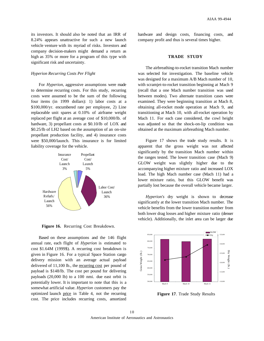its investors. It should also be noted that an IRR of 8.24% appears unattractive for such a new launch vehicle venture with its myriad of risks. Investors and company decision-makers might demand a return as high as 35% or more for a program of this type with significant risk and uncertainty.

## *Hyperion Recurring Costs Per Flight*

For *Hyperion*, aggressive assumptions were made to determine recurring costs. For this study, recurring costs were assumed to be the sum of the following four items (in 1999 dollars): 1) labor costs at a \$100,000/yr. encumbered rate per employee, 2) Line replaceable unit spares at 0.10% of airframe weight replaced per flight at an average cost of \$10,000/lb. of hardware, 3) propellant costs at \$0.10/lb of LOX and \$0.25/lb of LH2 based on the assumption of an on-site propellant production facility, and 4) insurance costs were \$50,000/launch. This insurance is for limited liability coverage for the vehicle.



**Figure 16.** Recurring Cost Breakdown.

Based on these assumptions and the 146 flight annual rate, each flight of *Hyperion* is estimated to cost \$1.64M (1999\$). A recurring cost breakdown is given in Figure 16. For a typical Space Station cargo delivery mission with an average actual payload delivered of 11,100 lb., the recurring cost per pound of payload is \$148/lb. The cost per pound for delivering payloads (20,000 lb) to a 100 nmi. due east orbit is potentially lower. It is important to note that this is a somewhat artificial value. *Hyperion* customers pay the optimized launch price in Table 4, not the recurring cost. The price includes recurring costs, amortized hardware and design costs, financing costs, and company profit and thus is several times higher.

## **TRADE STUDY**

The airbreathing-to-rocket transition Mach number was selected for investigation. The baseline vehicle was designed for a maximum A/B Mach number of 10, with scramjet-to-rocket transition beginning at Mach 9 (recall that a one Mach number transition was used between modes). Two alternate transition cases were examined. They were beginning transition at Mach 8, obtaining all-rocket mode operation at Mach 9, and transitioning at Mach 10, with all-rocket operation by Mach 11. For each case considered, the cowl height was adjusted so that the shock-on-lip condition was obtained at the maximum airbreathing Mach number.

Figure 17 shows the trade study results. It is apparent that the gross weight was not affected significantly by the transition Mach number within the ranges tested. The lower transition case (Mach 9) GLOW weight was slightly higher due to the accompanying higher mixture ratio and increased LOX load. The high Mach number case (Mach 11) had a lower mixture ratio, but this GLOW benefit was partially lost because the overall vehicle became larger.

*Hyperion's* dry weight is shown to decrease significantly at the lower transition Mach number. The vehicle benefits from the lower transition number from both lower drag losses and higher mixture ratio (denser vehicle). Additionally, the inlet area can be larger due



**Figure 17**. Trade Study Results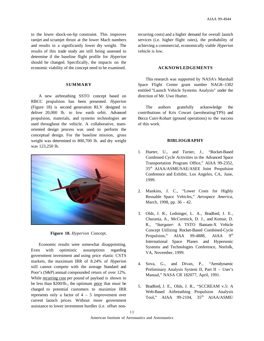to the lower shock-on-lip constraint. This improves ramjet and scramjet thrust at the lower Mach numbers and results in a significantly lower dry weight. The results of this trade study are still being assessed to determine if the baseline flight profile for *Hyperion* should be changed. Specifically, the impacts on the economic viability of the concept need to be examined.

## **SUMMARY**

A new airbreathing SSTO concept based on RBCC propulsion has been presented. *Hyperion* (Figure 18) is second generation RLV designed to deliver 20,000 lb. to low earth orbit. Advanced propulsion, materials, and systems technologies are used throughout the vehicle. A collaborative, teamoriented design process was used to perform the conceptual design. For the baseline mission, gross weight was determined to 800,700 lb. and dry weight was 123,250 lb.





Economic results were somewhat disappointing. Even with optimistic assumptions regarding government investment and using price elastic CSTS markets, the maximum IRR of 8.24% of *Hyperion* still cannot compete with the average Standard and Poor's (S&P) annual compounded return of over 12%. While recurring cost per pound of payload is shown to be less than \$200/lb., the optimum price that must be charged to potential customers to maximize IRR represents only a factor of  $4 - 5$  improvement over current launch prices. Without more government assistance to lower investment hurdles (i.e. offset nonrecurring costs) and a higher demand for overall launch services (i.e. higher flight rates), the probability of achieving a commercial, economically viable *Hyperion* vehicle is low.

## **ACKNOWLEDGEMENTS**

This research was supported by NASA's Marshall Space Flight Center grant number NAG8--1302 entitled "Launch Vehicle Systems Analysis" under the direction of Mr. Uwe Hueter.

The authors gratefully acknowledge the contributions of Kris Cowart (aeroheating/TPS) and Becca Cutri-Kohart (ground operations) to the success of this work.

#### **BIBLIOGRAPHY**

- 1. Hueter, U., and Turner, J., "Rocket-Based Combined Cycle Activities in the Advanced Space Transportation Program Office," AIAA 99-2352, 35th AIAA/ASME/SAE/ASEE Joint Propulsion Conference and Exhibit, Los Angeles, CA, June, 1999.
- 2. Mankins, J. C., "Lower Costs for Highly Reusable Space Vehicles," *Aerospace America*, March, 1998, pp. 36 – 42.
- 3. Olds, J. R., Ledsinger, L. A., Bradford, J. E., Charania, A., McCormick, D. J., and Komar, D. R., "*Stargazer*: A TSTO Bantam-X Vehicle Concept Utilizing Rocket-Based Combined-Cycle Propulsion," AIAA 99-4888, AIAA 9<sup>th</sup> International Space Planes and Hypersonic Systems and Technologies Conference, Norfolk, VA, November, 1999.
- 4. Sova, G., and Divan, P., "Aerodynamic Preliminary Analysis System II, Part II – User's Manual," NASA CR 182077, April, 1991.
- 5. Bradford, J. E., Olds, J. R., "SCCREAM v.5: A Web-Based Airbreathing Propulsion Analysis Tool," AIAA 99-2104, 35<sup>th</sup> AIAA/ASME/